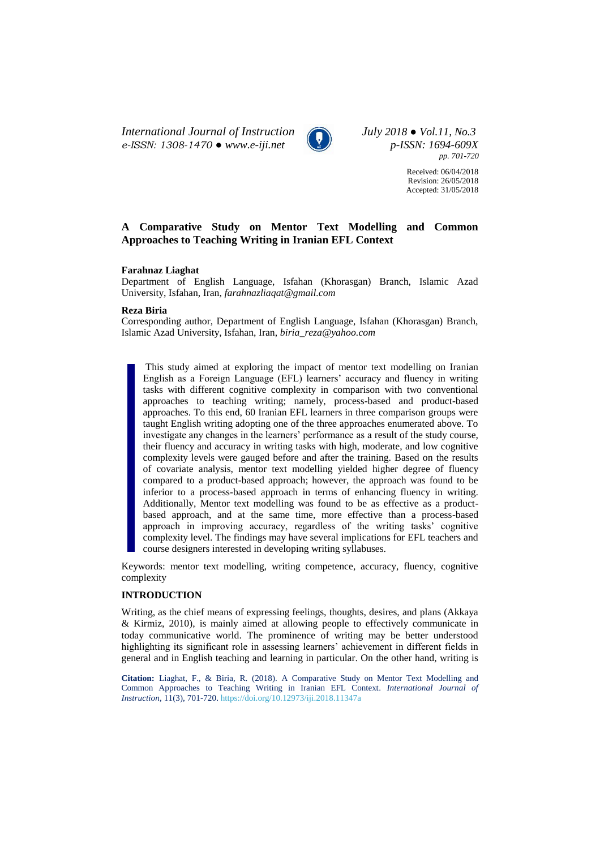*International Journal of Instruction July 2018 ● Vol.11, No.3 e-ISSN: 1308-1470 ● [www.e-iji.net](http://www.e-iji.net/) p-ISSN: 1694-609X*



*pp. 701-720*

Received: 06/04/2018 Revision: 26/05/2018 Accepted: 31/05/2018

# **A Comparative Study on Mentor Text Modelling and Common Approaches to Teaching Writing in Iranian EFL Context**

#### **Farahnaz Liaghat**

Department of English Language, Isfahan (Khorasgan) Branch, Islamic Azad University, Isfahan, Iran, *farahnazliaqat@gmail.com*

#### **Reza Biria**

Corresponding author, Department of English Language, Isfahan (Khorasgan) Branch, Islamic Azad University, Isfahan, Iran, *biria\_reza@yahoo.com*

This study aimed at exploring the impact of mentor text modelling on Iranian English as a Foreign Language (EFL) learners' accuracy and fluency in writing tasks with different cognitive complexity in comparison with two conventional approaches to teaching writing; namely, process-based and product-based approaches. To this end, 60 Iranian EFL learners in three comparison groups were taught English writing adopting one of the three approaches enumerated above. To investigate any changes in the learners' performance as a result of the study course, their fluency and accuracy in writing tasks with high, moderate, and low cognitive complexity levels were gauged before and after the training. Based on the results of covariate analysis, mentor text modelling yielded higher degree of fluency compared to a product-based approach; however, the approach was found to be inferior to a process-based approach in terms of enhancing fluency in writing. Additionally, Mentor text modelling was found to be as effective as a productbased approach, and at the same time, more effective than a process-based approach in improving accuracy, regardless of the writing tasks' cognitive complexity level. The findings may have several implications for EFL teachers and course designers interested in developing writing syllabuses.

Keywords: mentor text modelling, writing competence, accuracy, fluency, cognitive complexity

## **INTRODUCTION**

Writing, as the chief means of expressing feelings, thoughts, desires, and plans (Akkaya & Kirmiz, 2010), is mainly aimed at allowing people to effectively communicate in today communicative world. The prominence of writing may be better understood highlighting its significant role in assessing learners' achievement in different fields in general and in English teaching and learning in particular. On the other hand, writing is

**Citation:** Liaghat, F., & Biria, R. (2018). A Comparative Study on Mentor Text Modelling and Common Approaches to Teaching Writing in Iranian EFL Context. *International Journal of Instruction*, 11(3), 701-720. <https://doi.org/10.12973/iji.2018.11347a>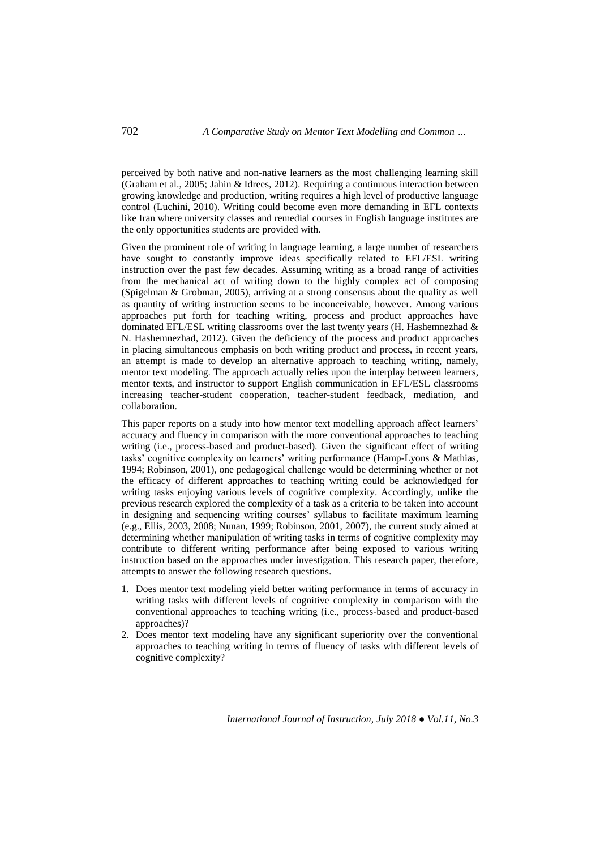perceived by both native and non-native learners as the most challenging learning skill (Graham et al., 2005; Jahin & Idrees, 2012). Requiring a continuous interaction between growing knowledge and production, writing requires a high level of productive language control (Luchini, 2010). Writing could become even more demanding in EFL contexts like Iran where university classes and remedial courses in English language institutes are the only opportunities students are provided with.

Given the prominent role of writing in language learning, a large number of researchers have sought to constantly improve ideas specifically related to EFL/ESL writing instruction over the past few decades. Assuming writing as a broad range of activities from the mechanical act of writing down to the highly complex act of composing (Spigelman & Grobman, 2005), arriving at a strong consensus about the quality as well as quantity of writing instruction seems to be inconceivable, however. Among various approaches put forth for teaching writing, process and product approaches have dominated EFL/ESL writing classrooms over the last twenty years (H. Hashemnezhad  $\&$ N. Hashemnezhad, 2012). Given the deficiency of the process and product approaches in placing simultaneous emphasis on both writing product and process, in recent years, an attempt is made to develop an alternative approach to teaching writing, namely, mentor text modeling. The approach actually relies upon the interplay between learners, mentor texts, and instructor to support English communication in EFL/ESL classrooms increasing teacher-student cooperation, teacher-student feedback, mediation, and collaboration.

This paper reports on a study into how mentor text modelling approach affect learners' accuracy and fluency in comparison with the more conventional approaches to teaching writing (i.e., process-based and product-based). Given the significant effect of writing tasks' cognitive complexity on learners' writing performance (Hamp-Lyons & Mathias, 1994; Robinson, 2001), one pedagogical challenge would be determining whether or not the efficacy of different approaches to teaching writing could be acknowledged for writing tasks enjoying various levels of cognitive complexity. Accordingly, unlike the previous research explored the complexity of a task as a criteria to be taken into account in designing and sequencing writing courses' syllabus to facilitate maximum learning (e.g., Ellis, 2003, 2008; Nunan, 1999; Robinson, 2001, 2007), the current study aimed at determining whether manipulation of writing tasks in terms of cognitive complexity may contribute to different writing performance after being exposed to various writing instruction based on the approaches under investigation. This research paper, therefore, attempts to answer the following research questions.

- 1. Does mentor text modeling yield better writing performance in terms of accuracy in writing tasks with different levels of cognitive complexity in comparison with the conventional approaches to teaching writing (i.e., process-based and product-based approaches)?
- 2. Does mentor text modeling have any significant superiority over the conventional approaches to teaching writing in terms of fluency of tasks with different levels of cognitive complexity?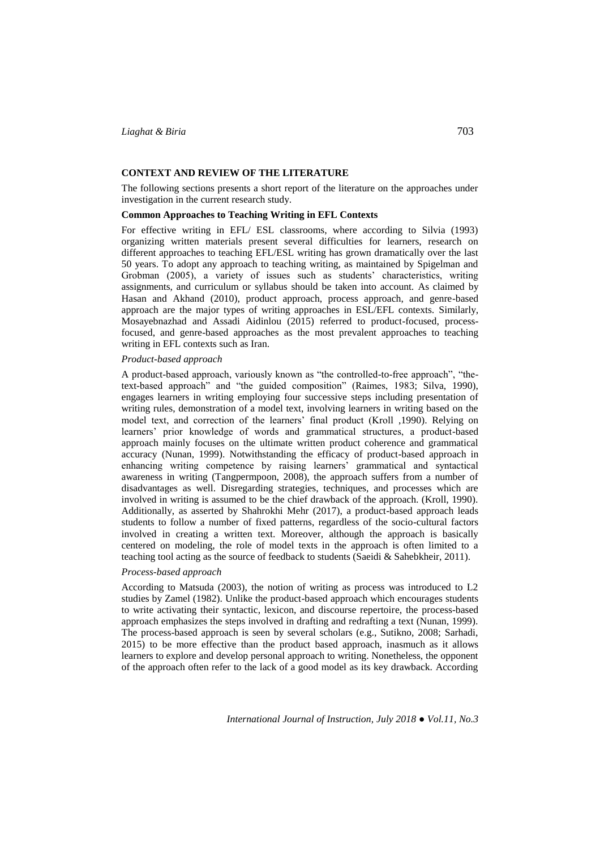### **CONTEXT AND REVIEW OF THE LITERATURE**

The following sections presents a short report of the literature on the approaches under investigation in the current research study.

## **Common Approaches to Teaching Writing in EFL Contexts**

For effective writing in EFL/ ESL classrooms, where according to Silvia (1993) organizing written materials present several difficulties for learners, research on different approaches to teaching EFL/ESL writing has grown dramatically over the last 50 years. To adopt any approach to teaching writing, as maintained by Spigelman and Grobman (2005), a variety of issues such as students' characteristics, writing assignments, and curriculum or syllabus should be taken into account. As claimed by Hasan and Akhand (2010), product approach, process approach, and genre-based approach are the major types of writing approaches in ESL/EFL contexts. Similarly, Mosayebnazhad and Assadi Aidinlou (2015) referred to product-focused, processfocused, and genre-based approaches as the most prevalent approaches to teaching writing in EFL contexts such as Iran.

## *Product-based approach*

A product-based approach, variously known as "the controlled-to-free approach", "thetext-based approach" and "the guided composition" (Raimes, 1983; Silva, 1990), engages learners in writing employing four successive steps including presentation of writing rules, demonstration of a model text, involving learners in writing based on the model text, and correction of the learners' final product (Kroll ,1990). Relying on learners' prior knowledge of words and grammatical structures, a product-based approach mainly focuses on the ultimate written product coherence and grammatical accuracy (Nunan, 1999). Notwithstanding the efficacy of product-based approach in enhancing writing competence by raising learners' grammatical and syntactical awareness in writing (Tangpermpoon, 2008), the approach suffers from a number of disadvantages as well. Disregarding strategies, techniques, and processes which are involved in writing is assumed to be the chief drawback of the approach. (Kroll, 1990). Additionally, as asserted by Shahrokhi Mehr (2017), a product-based approach leads students to follow a number of fixed patterns, regardless of the socio-cultural factors involved in creating a written text. Moreover, although the approach is basically centered on modeling, the role of model texts in the approach is often limited to a teaching tool acting as the source of feedback to students (Saeidi & Sahebkheir, 2011).

#### *Process-based approach*

According to Matsuda (2003), the notion of writing as process was introduced to L2 studies by Zamel (1982). Unlike the product-based approach which encourages students to write activating their syntactic, lexicon, and discourse repertoire, the process-based approach emphasizes the steps involved in drafting and redrafting a text (Nunan, 1999). The process-based approach is seen by several scholars (e.g., Sutikno, 2008; Sarhadi, 2015) to be more effective than the product based approach, inasmuch as it allows learners to explore and develop personal approach to writing. Nonetheless, the opponent of the approach often refer to the lack of a good model as its key drawback. According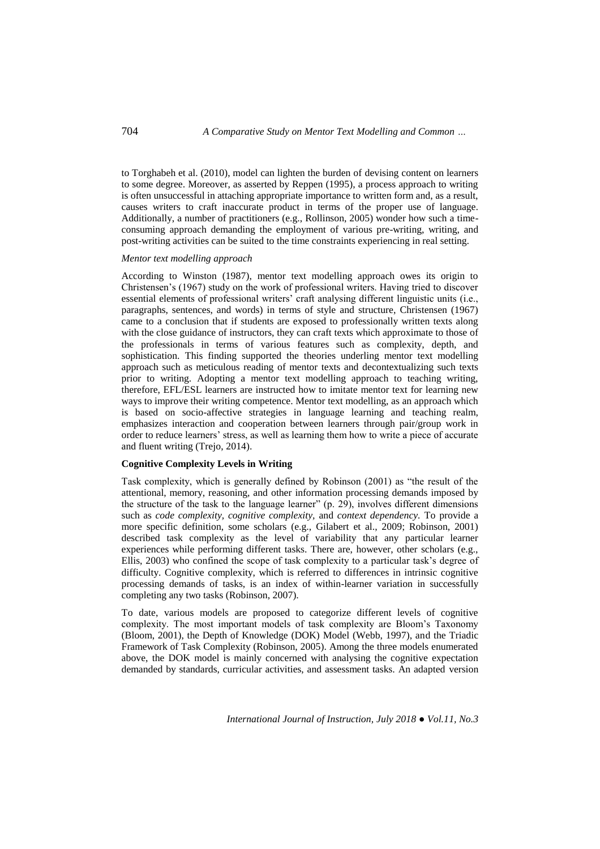to Torghabeh et al. (2010), model can lighten the burden of devising content on learners to some degree. Moreover, as asserted by Reppen (1995), a process approach to writing is often unsuccessful in attaching appropriate importance to written form and, as a result, causes writers to craft inaccurate product in terms of the proper use of language. Additionally, a number of practitioners (e.g., Rollinson, 2005) wonder how such a timeconsuming approach demanding the employment of various pre-writing, writing, and post-writing activities can be suited to the time constraints experiencing in real setting.

## *Mentor text modelling approach*

According to Winston (1987), mentor text modelling approach owes its origin to Christensen's (1967) study on the work of professional writers. Having tried to discover essential elements of professional writers' craft analysing different linguistic units (i.e., paragraphs, sentences, and words) in terms of style and structure, Christensen (1967) came to a conclusion that if students are exposed to professionally written texts along with the close guidance of instructors, they can craft texts which approximate to those of the professionals in terms of various features such as complexity, depth, and sophistication. This finding supported the theories underling mentor text modelling approach such as meticulous reading of mentor texts and decontextualizing such texts prior to writing. Adopting a mentor text modelling approach to teaching writing, therefore, EFL/ESL learners are instructed how to imitate mentor text for learning new ways to improve their writing competence. Mentor text modelling, as an approach which is based on socio-affective strategies in language learning and teaching realm, emphasizes interaction and cooperation between learners through pair/group work in order to reduce learners' stress, as well as learning them how to write a piece of accurate and fluent writing (Trejo, 2014).

### **Cognitive Complexity Levels in Writing**

Task complexity, which is generally defined by Robinson (2001) as "the result of the attentional, memory, reasoning, and other information processing demands imposed by the structure of the task to the language learner" (p. 29), involves different dimensions such as *code complexity, cognitive complexity,* and *context dependency.* To provide a more specific definition, some scholars (e.g., Gilabert et al., 2009; Robinson, 2001) described task complexity as the level of variability that any particular learner experiences while performing different tasks. There are, however, other scholars (e.g., Ellis, 2003) who confined the scope of task complexity to a particular task's degree of difficulty. Cognitive complexity, which is referred to differences in intrinsic cognitive processing demands of tasks, is an index of within-learner variation in successfully completing any two tasks (Robinson, 2007).

To date, various models are proposed to categorize different levels of cognitive complexity. The most important models of task complexity are Bloom's Taxonomy (Bloom, 2001), the Depth of Knowledge (DOK) Model (Webb, 1997), and the Triadic Framework of Task Complexity (Robinson, 2005). Among the three models enumerated above, the DOK model is mainly concerned with analysing the cognitive expectation demanded by standards, curricular activities, and assessment tasks. An adapted version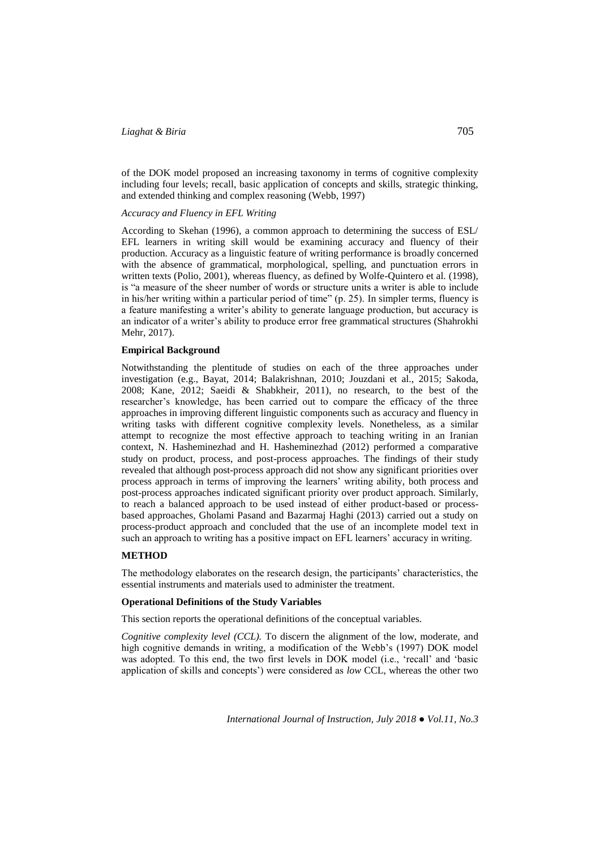of the DOK model proposed an increasing taxonomy in terms of cognitive complexity including four levels; recall, basic application of concepts and skills, strategic thinking, and extended thinking and complex reasoning (Webb, 1997)

## *Accuracy and Fluency in EFL Writing*

According to Skehan (1996), a common approach to determining the success of ESL/ EFL learners in writing skill would be examining accuracy and fluency of their production. Accuracy as a linguistic feature of writing performance is broadly concerned with the absence of grammatical, morphological, spelling, and punctuation errors in written texts (Polio, 2001), whereas fluency, as defined by Wolfe-Quintero et al. (1998), is "a measure of the sheer number of words or structure units a writer is able to include in his/her writing within a particular period of time" (p. 25). In simpler terms, fluency is a feature manifesting a writer's ability to generate language production, but accuracy is an indicator of a writer's ability to produce error free grammatical structures (Shahrokhi Mehr, 2017).

#### **Empirical Background**

Notwithstanding the plentitude of studies on each of the three approaches under investigation (e.g., Bayat, 2014; Balakrishnan, 2010; Jouzdani et al., 2015; Sakoda, 2008; Kane, 2012; Saeidi & Shabkheir, 2011), no research, to the best of the researcher's knowledge, has been carried out to compare the efficacy of the three approaches in improving different linguistic components such as accuracy and fluency in writing tasks with different cognitive complexity levels. Nonetheless, as a similar attempt to recognize the most effective approach to teaching writing in an Iranian context, N. Hasheminezhad and H. Hasheminezhad (2012) performed a comparative study on product, process, and post-process approaches. The findings of their study revealed that although post-process approach did not show any significant priorities over process approach in terms of improving the learners' writing ability, both process and post-process approaches indicated significant priority over product approach. Similarly, to reach a balanced approach to be used instead of either product-based or processbased approaches, Gholami Pasand and Bazarmaj Haghi (2013) carried out a study on process-product approach and concluded that the use of an incomplete model text in such an approach to writing has a positive impact on EFL learners' accuracy in writing.

#### **METHOD**

The methodology elaborates on the research design, the participants' characteristics, the essential instruments and materials used to administer the treatment.

#### **Operational Definitions of the Study Variables**

This section reports the operational definitions of the conceptual variables.

*Cognitive complexity level (CCL).* To discern the alignment of the low, moderate, and high cognitive demands in writing, a modification of the Webb's (1997) DOK model was adopted. To this end, the two first levels in DOK model (i.e., 'recall' and 'basic application of skills and concepts') were considered as *low* CCL, whereas the other two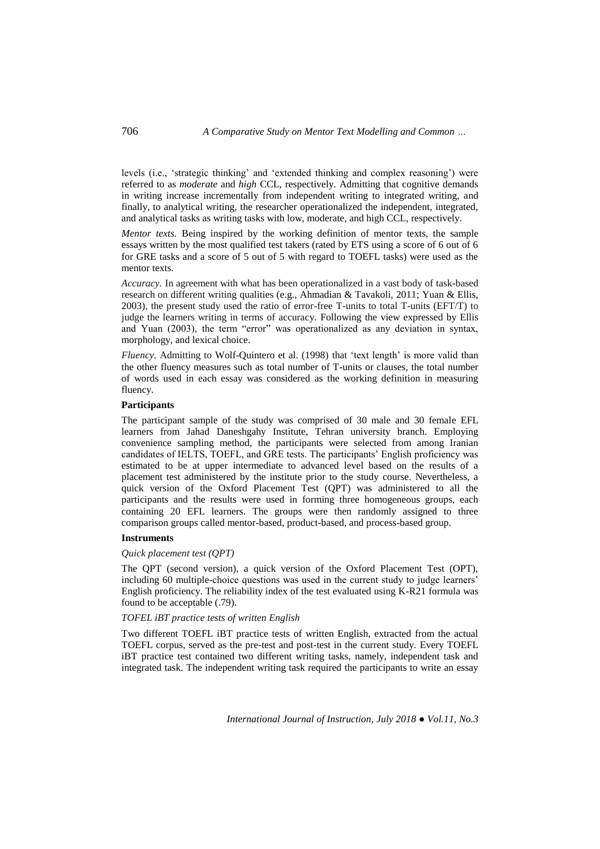levels (i.e., 'strategic thinking' and 'extended thinking and complex reasoning') were referred to as *moderate* and *high* CCL, respectively. Admitting that cognitive demands in writing increase incrementally from independent writing to integrated writing, and finally, to analytical writing, the researcher operationalized the independent, integrated, and analytical tasks as writing tasks with low, moderate, and high CCL, respectively.

*Mentor texts.* Being inspired by the working definition of mentor texts, the sample essays written by the most qualified test takers (rated by ETS using a score of 6 out of 6 for GRE tasks and a score of 5 out of 5 with regard to TOEFL tasks) were used as the mentor texts.

*Accuracy.* In agreement with what has been operationalized in a vast body of task-based research on different writing qualities (e.g., Ahmadian & Tavakoli, 2011; Yuan & Ellis, 2003), the present study used the ratio of error-free T-units to total T-units (EFT/T) to judge the learners writing in terms of accuracy. Following the view expressed by Ellis and Yuan (2003), the term "error" was operationalized as any deviation in syntax, morphology, and lexical choice.

*Fluency.* Admitting to Wolf-Quintero et al. (1998) that 'text length' is more valid than the other fluency measures such as total number of T-units or clauses, the total number of words used in each essay was considered as the working definition in measuring fluency.

## **Participants**

The participant sample of the study was comprised of 30 male and 30 female EFL learners from Jahad Daneshgahy Institute, Tehran university branch. Employing convenience sampling method, the participants were selected from among Iranian candidates of IELTS, TOEFL, and GRE tests. The participants' English proficiency was estimated to be at upper intermediate to advanced level based on the results of a placement test administered by the institute prior to the study course. Nevertheless, a quick version of the Oxford Placement Test (QPT) was administered to all the participants and the results were used in forming three homogeneous groups, each containing 20 EFL learners. The groups were then randomly assigned to three comparison groups called mentor-based, product-based, and process-based group.

## **Instruments**

#### *Quick placement test (QPT)*

The QPT (second version), a quick version of the Oxford Placement Test (OPT), including 60 multiple-choice questions was used in the current study to judge learners' English proficiency. The reliability index of the test evaluated using K-R21 formula was found to be acceptable (.79).

# *TOFEL iBT practice tests of written English*

Two different TOEFL iBT practice tests of written English, extracted from the actual TOEFL corpus, served as the pre-test and post-test in the current study. Every TOEFL iBT practice test contained two different writing tasks, namely, independent task and integrated task. The independent writing task required the participants to write an essay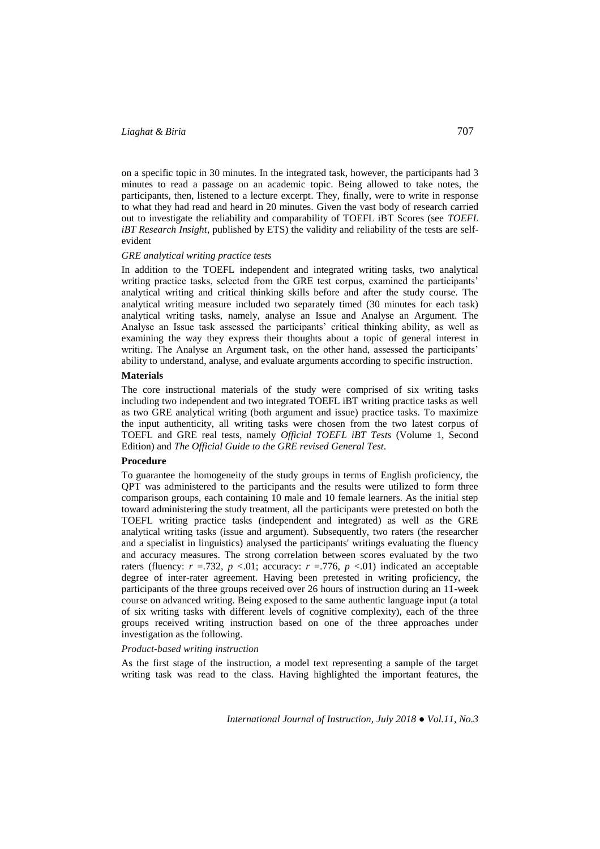on a specific topic in 30 minutes. In the integrated task, however, the participants had 3 minutes to read a passage on an academic topic. Being allowed to take notes, the participants, then, listened to a lecture excerpt. They, finally, were to write in response to what they had read and heard in 20 minutes. Given the vast body of research carried out to investigate the reliability and comparability of TOEFL iBT Scores (see *TOEFL iBT Research Insight*, published by ETS) the validity and reliability of the tests are selfevident

#### *GRE analytical writing practice tests*

In addition to the TOEFL independent and integrated writing tasks, two analytical writing practice tasks, selected from the GRE test corpus, examined the participants' analytical writing and critical thinking skills before and after the study course. The analytical writing measure included two separately timed (30 minutes for each task) analytical writing tasks, namely, analyse an Issue and Analyse an Argument. The Analyse an Issue task assessed the participants' critical thinking ability, as well as examining the way they express their thoughts about a topic of general interest in writing. The Analyse an Argument task, on the other hand, assessed the participants' ability to understand, analyse, and evaluate arguments according to specific instruction.

## **Materials**

The core instructional materials of the study were comprised of six writing tasks including two independent and two integrated TOEFL iBT writing practice tasks as well as two GRE analytical writing (both argument and issue) practice tasks. To maximize the input authenticity, all writing tasks were chosen from the two latest corpus of TOEFL and GRE real tests, namely *Official TOEFL iBT Tests* (Volume 1, Second Edition) and *The Official Guide to the GRE revised General Test*.

#### **Procedure**

To guarantee the homogeneity of the study groups in terms of English proficiency, the QPT was administered to the participants and the results were utilized to form three comparison groups, each containing 10 male and 10 female learners. As the initial step toward administering the study treatment, all the participants were pretested on both the TOEFL writing practice tasks (independent and integrated) as well as the GRE analytical writing tasks (issue and argument). Subsequently, two raters (the researcher and a specialist in linguistics) analysed the participants' writings evaluating the fluency and accuracy measures. The strong correlation between scores evaluated by the two raters (fluency:  $r = .732$ ,  $p < .01$ ; accuracy:  $r = .776$ ,  $p < .01$ ) indicated an acceptable degree of inter-rater agreement. Having been pretested in writing proficiency, the participants of the three groups received over 26 hours of instruction during an 11-week course on advanced writing. Being exposed to the same authentic language input (a total of six writing tasks with different levels of cognitive complexity), each of the three groups received writing instruction based on one of the three approaches under investigation as the following.

#### *Product-based writing instruction*

As the first stage of the instruction, a model text representing a sample of the target writing task was read to the class. Having highlighted the important features, the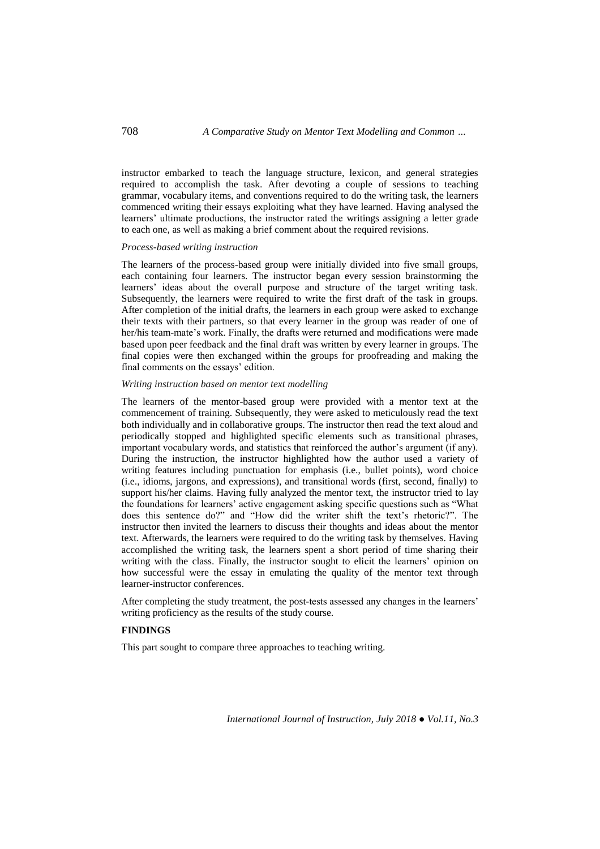instructor embarked to teach the language structure, lexicon, and general strategies required to accomplish the task. After devoting a couple of sessions to teaching grammar, vocabulary items, and conventions required to do the writing task, the learners commenced writing their essays exploiting what they have learned. Having analysed the learners' ultimate productions, the instructor rated the writings assigning a letter grade to each one, as well as making a brief comment about the required revisions.

#### *Process-based writing instruction*

The learners of the process-based group were initially divided into five small groups, each containing four learners. The instructor began every session brainstorming the learners' ideas about the overall purpose and structure of the target writing task. Subsequently, the learners were required to write the first draft of the task in groups. After completion of the initial drafts, the learners in each group were asked to exchange their texts with their partners, so that every learner in the group was reader of one of her/his team-mate's work. Finally, the drafts were returned and modifications were made based upon peer feedback and the final draft was written by every learner in groups. The final copies were then exchanged within the groups for proofreading and making the final comments on the essays' edition.

#### *Writing instruction based on mentor text modelling*

The learners of the mentor-based group were provided with a mentor text at the commencement of training. Subsequently, they were asked to meticulously read the text both individually and in collaborative groups. The instructor then read the text aloud and periodically stopped and highlighted specific elements such as transitional phrases, important vocabulary words, and statistics that reinforced the author's argument (if any). During the instruction, the instructor highlighted how the author used a variety of writing features including punctuation for emphasis (i.e., bullet points), word choice (i.e., idioms, jargons, and expressions), and transitional words (first, second, finally) to support his/her claims. Having fully analyzed the mentor text, the instructor tried to lay the foundations for learners' active engagement asking specific questions such as "What does this sentence do?" and "How did the writer shift the text's rhetoric?". The instructor then invited the learners to discuss their thoughts and ideas about the mentor text. Afterwards, the learners were required to do the writing task by themselves. Having accomplished the writing task, the learners spent a short period of time sharing their writing with the class. Finally, the instructor sought to elicit the learners' opinion on how successful were the essay in emulating the quality of the mentor text through learner-instructor conferences.

After completing the study treatment, the post-tests assessed any changes in the learners' writing proficiency as the results of the study course.

#### **FINDINGS**

This part sought to compare three approaches to teaching writing.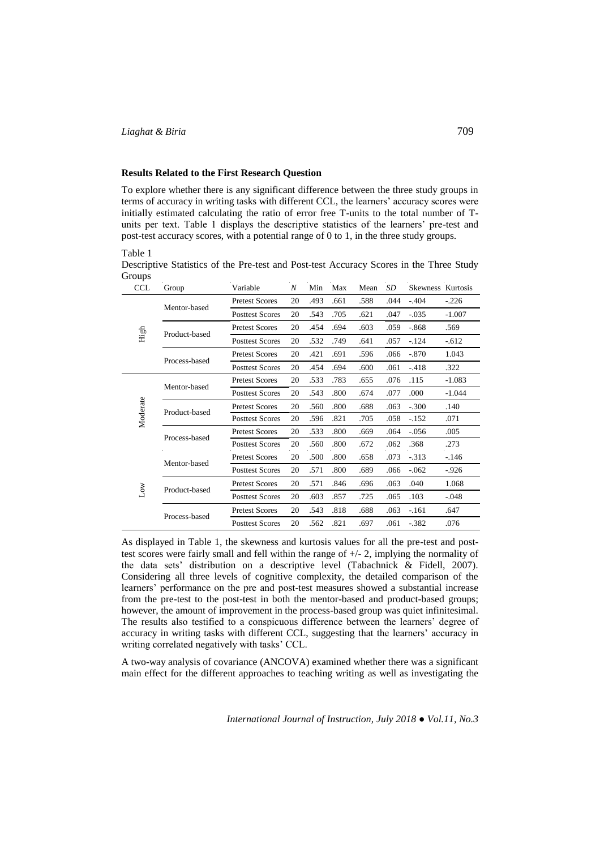### **Results Related to the First Research Question**

To explore whether there is any significant difference between the three study groups in terms of accuracy in writing tasks with different CCL, the learners' accuracy scores were initially estimated calculating the ratio of error free T-units to the total number of Tunits per text. Table 1 displays the descriptive statistics of the learners' pre-test and post-test accuracy scores, with a potential range of 0 to 1, in the three study groups.

## Table 1

Descriptive Statistics of the Pre-test and Post-test Accuracy Scores in the Three Study **Groups** 

| <b>CCL</b>             | Group         | Variable               | N  | Min  | Max  | Mean | SD                                                                                                                                                                                                                                                                                                                |          | Kurtosis |
|------------------------|---------------|------------------------|----|------|------|------|-------------------------------------------------------------------------------------------------------------------------------------------------------------------------------------------------------------------------------------------------------------------------------------------------------------------|----------|----------|
|                        | Mentor-based  | <b>Pretest Scores</b>  | 20 | .493 | .661 | .588 | .044                                                                                                                                                                                                                                                                                                              | $-.404$  | $-.226$  |
|                        |               | <b>Posttest Scores</b> | 20 | .543 | .705 | .621 | .047                                                                                                                                                                                                                                                                                                              | $-.035$  | $-1.007$ |
|                        |               | <b>Pretest Scores</b>  | 20 | .454 | .694 | .603 | .059                                                                                                                                                                                                                                                                                                              | $-868$   | .569     |
|                        | Product-based | <b>Posttest Scores</b> | 20 | .532 | .749 | .641 | .057                                                                                                                                                                                                                                                                                                              | $-124$   | $-.612$  |
|                        |               | <b>Pretest Scores</b>  | 20 | .421 | .691 | .596 | .066                                                                                                                                                                                                                                                                                                              | $-.870$  | 1.043    |
|                        | Process-based | <b>Posttest Scores</b> | 20 | .454 | .694 | .600 | .061                                                                                                                                                                                                                                                                                                              | $-418$   | .322     |
|                        | Mentor-based  | <b>Pretest Scores</b>  | 20 | .533 | .783 | .655 | <b>Skewness</b><br>.115<br>.076<br>.000<br>.077<br>.063<br>$-.300$<br>.140<br>.058<br>$-152$<br>.071<br>$-.056$<br>.005<br>.064<br>.368<br>.273<br>.062<br>$-313$<br>.073<br>$-.146$<br>$-.062$<br>.066<br>$-926$<br>.040<br>.063<br>.103<br>.065<br>$-.048$<br>$-161$<br>.647<br>.063<br>$-.382$<br>.076<br>.061 |          | $-1.083$ |
|                        |               | <b>Posttest Scores</b> | 20 | .543 | .800 | .674 |                                                                                                                                                                                                                                                                                                                   | $-1.044$ |          |
| High<br>Moderate<br>Δw |               | <b>Pretest Scores</b>  | 20 | .560 | .800 | .688 |                                                                                                                                                                                                                                                                                                                   |          |          |
|                        | Product-based | <b>Posttest Scores</b> | 20 | .596 | .821 | .705 |                                                                                                                                                                                                                                                                                                                   |          |          |
|                        | Process-based | <b>Pretest Scores</b>  | 20 | .533 | .800 | .669 |                                                                                                                                                                                                                                                                                                                   |          |          |
|                        |               | <b>Posttest Scores</b> | 20 | .560 | .800 | .672 |                                                                                                                                                                                                                                                                                                                   |          |          |
|                        | Mentor-based  | <b>Pretest Scores</b>  | 20 | .500 | .800 | .658 |                                                                                                                                                                                                                                                                                                                   |          |          |
|                        |               | <b>Posttest Scores</b> | 20 | .571 | .800 | .689 |                                                                                                                                                                                                                                                                                                                   |          |          |
|                        |               | <b>Pretest Scores</b>  | 20 | .571 | .846 | .696 |                                                                                                                                                                                                                                                                                                                   |          | 1.068    |
|                        | Product-based | <b>Posttest Scores</b> | 20 | .603 | .857 | .725 |                                                                                                                                                                                                                                                                                                                   |          |          |
|                        |               | <b>Pretest Scores</b>  | 20 | .543 | .818 | .688 |                                                                                                                                                                                                                                                                                                                   |          |          |
|                        | Process-based | <b>Posttest Scores</b> | 20 | .562 | .821 | .697 |                                                                                                                                                                                                                                                                                                                   |          |          |

As displayed in Table 1, the skewness and kurtosis values for all the pre-test and posttest scores were fairly small and fell within the range of +/- 2, implying the normality of the data sets' distribution on a descriptive level (Tabachnick & Fidell, 2007). Considering all three levels of cognitive complexity, the detailed comparison of the learners' performance on the pre and post-test measures showed a substantial increase from the pre-test to the post-test in both the mentor-based and product-based groups; however, the amount of improvement in the process-based group was quiet infinitesimal. The results also testified to a conspicuous difference between the learners' degree of accuracy in writing tasks with different CCL, suggesting that the learners' accuracy in writing correlated negatively with tasks' CCL.

A two-way analysis of covariance (ANCOVA) examined whether there was a significant main effect for the different approaches to teaching writing as well as investigating the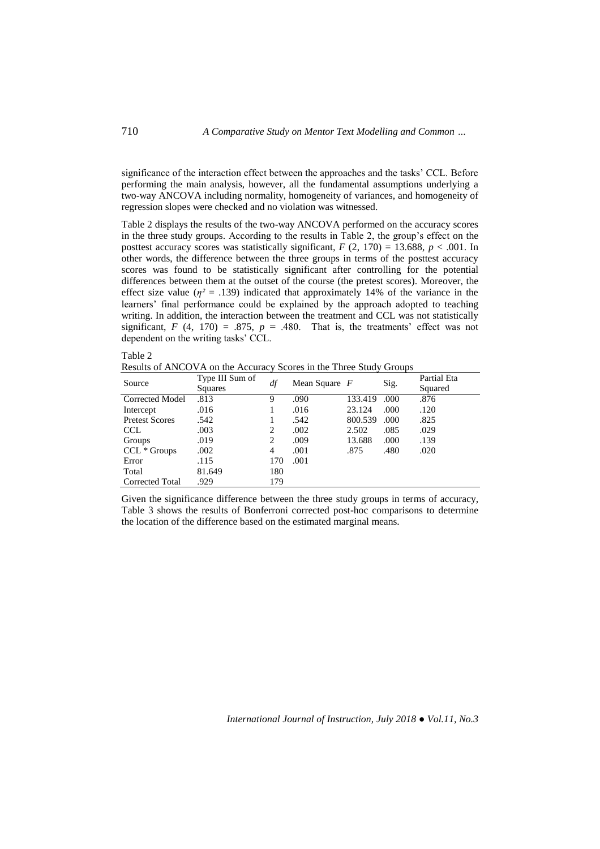significance of the interaction effect between the approaches and the tasks' CCL. Before performing the main analysis, however, all the fundamental assumptions underlying a two-way ANCOVA including normality, homogeneity of variances, and homogeneity of regression slopes were checked and no violation was witnessed.

Table 2 displays the results of the two-way ANCOVA performed on the accuracy scores in the three study groups. According to the results in Table 2, the group's effect on the posttest accuracy scores was statistically significant,  $F(2, 170) = 13.688$ ,  $p < .001$ . In other words, the difference between the three groups in terms of the posttest accuracy scores was found to be statistically significant after controlling for the potential differences between them at the outset of the course (the pretest scores). Moreover, the effect size value ( $\eta^2$  = .139) indicated that approximately 14% of the variance in the learners' final performance could be explained by the approach adopted to teaching writing. In addition, the interaction between the treatment and CCL was not statistically significant,  $F(4, 170) = .875$ ,  $p = .480$ . That is, the treatments' effect was not dependent on the writing tasks' CCL.

Table 2 Results of ANCOVA on the Accuracy Scores in the Three Study Groups

| Source                | Type III Sum of | df  | Mean Square $F$ |         | Sig. | Partial Eta |
|-----------------------|-----------------|-----|-----------------|---------|------|-------------|
|                       | Squares         |     |                 |         |      | Squared     |
| Corrected Model       | .813            | 9   | .090            | 133.419 | .000 | .876        |
| Intercept             | .016            |     | .016            | 23.124  | .000 | .120        |
| <b>Pretest Scores</b> | .542            |     | .542            | 800.539 | .000 | .825        |
| <b>CCL</b>            | .003            | 2   | .002            | 2.502   | .085 | .029        |
| Groups                | .019            | 2   | .009            | 13.688  | .000 | .139        |
| $CCL * Groups$        | .002            | 4   | .001            | .875    | .480 | .020        |
| Error                 | .115            | 170 | .001            |         |      |             |
| Total                 | 81.649          | 180 |                 |         |      |             |
| Corrected Total       | .929            | 179 |                 |         |      |             |

Given the significance difference between the three study groups in terms of accuracy, Table 3 shows the results of Bonferroni corrected post-hoc comparisons to determine the location of the difference based on the estimated marginal means.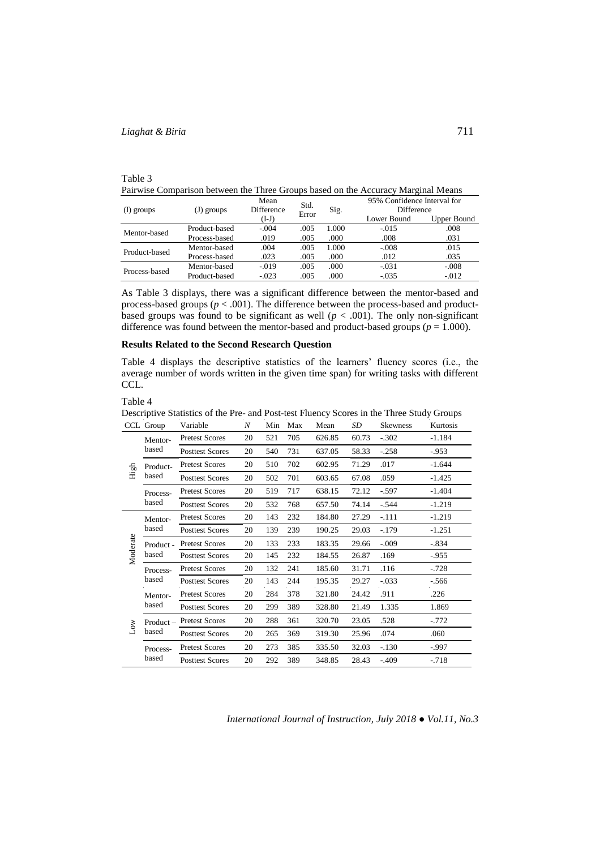| Table 3                                                                           |
|-----------------------------------------------------------------------------------|
| Pairwise Comparison between the Three Groups based on the Accuracy Marginal Means |

| (I) groups    | (J) groups    | Mean<br><b>Difference</b> | Std.<br>Error | Sig.  | 95% Confidence Interval for<br><b>Difference</b> |             |  |
|---------------|---------------|---------------------------|---------------|-------|--------------------------------------------------|-------------|--|
|               |               | (I-J)                     |               |       | Lower Bound                                      | Upper Bound |  |
| Mentor-based  | Product-based | $-.004$                   | .005          | 1.000 | $-.015$                                          | .008        |  |
|               | Process-based | .019                      | .005          | .000  | .008                                             | .031        |  |
| Product-based | Mentor-based  | .004                      | .005          | 1.000 | $-.008$                                          | .015        |  |
|               | Process-based | .023                      | .005          | .000  | .012                                             | .035        |  |
| Process-based | Mentor-based  | $-.019$                   | .005          | .000  | $-.031$                                          | $-.008$     |  |
|               | Product-based | $-.023$                   | .005          | .000  | $-.035$                                          | $-.012$     |  |

As Table 3 displays, there was a significant difference between the mentor-based and process-based groups  $(p < .001)$ . The difference between the process-based and productbased groups was found to be significant as well  $(p < .001)$ . The only non-significant difference was found between the mentor-based and product-based groups ( $p = 1.000$ ).

#### **Results Related to the Second Research Question**

Table 4 displays the descriptive statistics of the learners' fluency scores (i.e., the average number of words written in the given time span) for writing tasks with different CCL.

#### Table 4

Descriptive Statistics of the Pre- and Post-test Fluency Scores in the Three Study Groups

|                                                                         | CCL Group   | Variable               | N  | Min | Max | Mean   | SD    | <b>Skewness</b> | Kurtosis |
|-------------------------------------------------------------------------|-------------|------------------------|----|-----|-----|--------|-------|-----------------|----------|
|                                                                         | Mentor-     | <b>Pretest Scores</b>  | 20 | 521 | 705 | 626.85 | 60.73 | $-.302$         | $-1.184$ |
|                                                                         | based       | <b>Posttest Scores</b> | 20 | 540 | 731 | 637.05 | 58.33 | $-.258$         | $-953$   |
|                                                                         | Product-    | <b>Pretest Scores</b>  | 20 | 510 | 702 | 602.95 | 71.29 | .017            | $-1.644$ |
| High                                                                    | based       | <b>Posttest Scores</b> | 20 | 502 | 701 | 603.65 | 67.08 | .059            | $-1.425$ |
|                                                                         | Process-    | <b>Pretest Scores</b>  | 20 | 519 | 717 | 638.15 | 72.12 | $-.597$         | $-1.404$ |
|                                                                         | based       | <b>Posttest Scores</b> | 20 | 532 | 768 | 657.50 | 74.14 | $-.544$         | $-1.219$ |
| Mentor-<br>based<br>Moderate<br>Product -<br>based<br>Process-<br>based |             | <b>Pretest Scores</b>  | 20 | 143 | 232 | 184.80 | 27.29 | $-.111$         | $-1.219$ |
|                                                                         |             | <b>Posttest Scores</b> | 20 | 139 | 239 | 190.25 | 29.03 | $-179$          | $-1.251$ |
|                                                                         |             | <b>Pretest Scores</b>  | 20 | 133 | 233 | 183.35 | 29.66 | $-.009$         | $-.834$  |
|                                                                         |             | <b>Posttest Scores</b> | 20 | 145 | 232 | 184.55 | 26.87 | .169            | $-955$   |
|                                                                         |             | <b>Pretest Scores</b>  | 20 | 132 | 241 | 185.60 | 31.71 | .116            | $-.728$  |
|                                                                         |             | <b>Posttest Scores</b> | 20 | 143 | 244 | 195.35 | 29.27 | $-.033$         | $-.566$  |
| Mentor-                                                                 |             | <b>Pretest Scores</b>  | 20 | 284 | 378 | 321.80 | 24.42 | .911            | .226     |
|                                                                         | based       | <b>Posttest Scores</b> | 20 | 299 | 389 | 328.80 | 21.49 | 1.335           | 1.869    |
| Δw                                                                      | $Product -$ | <b>Pretest Scores</b>  | 20 | 288 | 361 | 320.70 | 23.05 | .528            | $-0.772$ |
|                                                                         | based       | <b>Posttest Scores</b> | 20 | 265 | 369 | 319.30 | 25.96 | .074            | .060     |
|                                                                         | Process-    | <b>Pretest Scores</b>  | 20 | 273 | 385 | 335.50 | 32.03 | $-.130$         | -.997    |
|                                                                         | based       | <b>Posttest Scores</b> | 20 | 292 | 389 | 348.85 | 28.43 | $-.409$         | $-.718$  |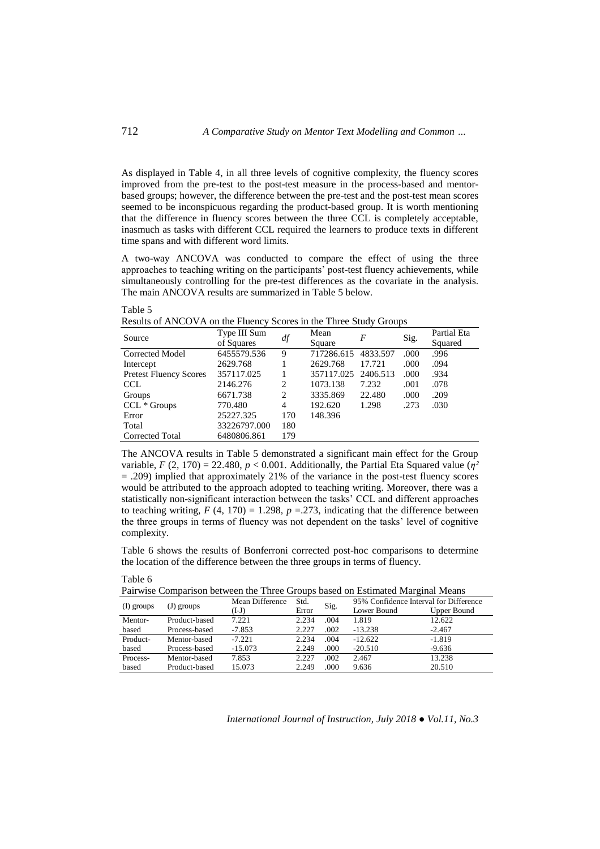As displayed in Table 4, in all three levels of cognitive complexity, the fluency scores improved from the pre-test to the post-test measure in the process-based and mentorbased groups; however, the difference between the pre-test and the post-test mean scores seemed to be inconspicuous regarding the product-based group. It is worth mentioning that the difference in fluency scores between the three CCL is completely acceptable, inasmuch as tasks with different CCL required the learners to produce texts in different time spans and with different word limits.

A two-way ANCOVA was conducted to compare the effect of using the three approaches to teaching writing on the participants' post-test fluency achievements, while simultaneously controlling for the pre-test differences as the covariate in the analysis. The main ANCOVA results are summarized in Table 5 below.

Table 5 Results of ANCOVA on the Fluency Scores in the Three Study Groups

| Source                        | Type III Sum         |     | Mean       | F        |      | Partial Eta |
|-------------------------------|----------------------|-----|------------|----------|------|-------------|
|                               | $d\!f$<br>of Squares |     | Square     |          | Sig. | Squared     |
| Corrected Model               | 6455579.536          | 9   | 717286.615 | 4833.597 | .000 | .996        |
| Intercept                     | 2629.768             |     | 2629.768   | 17.721   | .000 | .094        |
| <b>Pretest Fluency Scores</b> | 357117.025           |     | 357117.025 | 2406.513 | .000 | .934        |
| <b>CCL</b>                    | 2146.276             | 2   | 1073.138   | 7.232    | .001 | .078        |
| Groups                        | 6671.738             | 2   | 3335.869   | 22.480   | .000 | .209        |
| $CCL * Groups$                | 770.480              | 4   | 192.620    | 1.298    | .273 | .030        |
| Error                         | 25227.325            | 170 | 148.396    |          |      |             |
| Total                         | 33226797.000         | 180 |            |          |      |             |
| Corrected Total               | 6480806.861          | 179 |            |          |      |             |

The ANCOVA results in Table 5 demonstrated a significant main effect for the Group variable,  $F(2, 170) = 22.480$ ,  $p < 0.001$ . Additionally, the Partial Eta Squared value ( $n^2$ ) = .209) implied that approximately 21% of the variance in the post-test fluency scores would be attributed to the approach adopted to teaching writing. Moreover, there was a statistically non-significant interaction between the tasks' CCL and different approaches to teaching writing,  $F(4, 170) = 1.298$ ,  $p = 273$ , indicating that the difference between the three groups in terms of fluency was not dependent on the tasks' level of cognitive complexity.

Table 6 shows the results of Bonferroni corrected post-hoc comparisons to determine the location of the difference between the three groups in terms of fluency.

| Pairwise Comparison between the Three Groups based on Estimated Marginal Means |               |                 |                              |             |                                        |          |  |  |  |
|--------------------------------------------------------------------------------|---------------|-----------------|------------------------------|-------------|----------------------------------------|----------|--|--|--|
|                                                                                |               | Mean Difference | Std.                         |             | 95% Confidence Interval for Difference |          |  |  |  |
| (I) groups                                                                     | $J)$ groups   | $(I-J)$         | Sig.<br>Error<br>Lower Bound | Upper Bound |                                        |          |  |  |  |
| Mentor-                                                                        | Product-based | 7.221           | 2.234                        | .004        | 1.819                                  | 12.622   |  |  |  |
| based                                                                          | Process-based | $-7.853$        | 2.227                        | .002        | $-13.238$                              | $-2.467$ |  |  |  |
| Product-                                                                       | Mentor-based  | $-7.221$        | 2.234                        | .004        | $-12.622$                              | $-1.819$ |  |  |  |
| based                                                                          | Process-based | $-15.073$       | 2.249                        | .000        | $-20.510$                              | $-9.636$ |  |  |  |
| Process-                                                                       | Mentor-based  | 7.853           | 2.227                        | .002        | 2.467                                  | 13.238   |  |  |  |
| based                                                                          | Product-based | 15.073          | 2.249                        | .000        | 9.636                                  | 20.510   |  |  |  |

#### Table 6

Pairwise Comparison between the Three Groups based on Estimated Marginal Means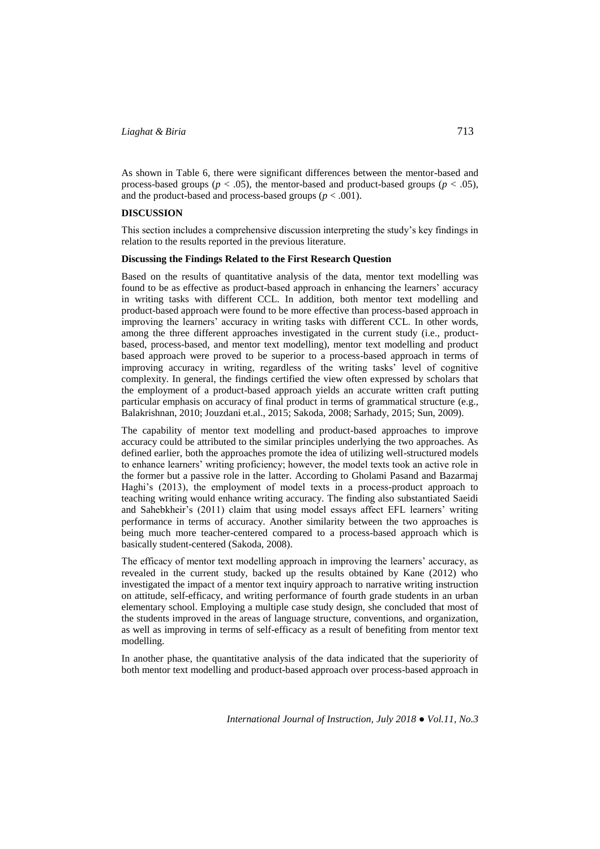As shown in Table 6, there were significant differences between the mentor-based and process-based groups ( $p < .05$ ), the mentor-based and product-based groups ( $p < .05$ ), and the product-based and process-based groups ( $p < .001$ ).

#### **DISCUSSION**

This section includes a comprehensive discussion interpreting the study's key findings in relation to the results reported in the previous literature.

#### **Discussing the Findings Related to the First Research Question**

Based on the results of quantitative analysis of the data, mentor text modelling was found to be as effective as product-based approach in enhancing the learners' accuracy in writing tasks with different CCL. In addition, both mentor text modelling and product-based approach were found to be more effective than process-based approach in improving the learners' accuracy in writing tasks with different CCL. In other words, among the three different approaches investigated in the current study (i.e., productbased, process-based, and mentor text modelling), mentor text modelling and product based approach were proved to be superior to a process-based approach in terms of improving accuracy in writing, regardless of the writing tasks' level of cognitive complexity. In general, the findings certified the view often expressed by scholars that the employment of a product-based approach yields an accurate written craft putting particular emphasis on accuracy of final product in terms of grammatical structure (e.g., Balakrishnan, 2010; Jouzdani et.al., 2015; Sakoda, 2008; Sarhady, 2015; Sun, 2009).

The capability of mentor text modelling and product-based approaches to improve accuracy could be attributed to the similar principles underlying the two approaches. As defined earlier, both the approaches promote the idea of utilizing well-structured models to enhance learners' writing proficiency; however, the model texts took an active role in the former but a passive role in the latter. According to Gholami Pasand and Bazarmaj Haghi's (2013), the employment of model texts in a process-product approach to teaching writing would enhance writing accuracy. The finding also substantiated Saeidi and Sahebkheir's (2011) claim that using model essays affect EFL learners' writing performance in terms of accuracy. Another similarity between the two approaches is being much more teacher-centered compared to a process-based approach which is basically student-centered (Sakoda, 2008).

The efficacy of mentor text modelling approach in improving the learners' accuracy, as revealed in the current study, backed up the results obtained by Kane (2012) who investigated the impact of a mentor text inquiry approach to narrative writing instruction on attitude, self-efficacy, and writing performance of fourth grade students in an urban elementary school. Employing a multiple case study design, she concluded that most of the students improved in the areas of language structure, conventions, and organization, as well as improving in terms of self-efficacy as a result of benefiting from mentor text modelling.

In another phase, the quantitative analysis of the data indicated that the superiority of both mentor text modelling and product-based approach over process-based approach in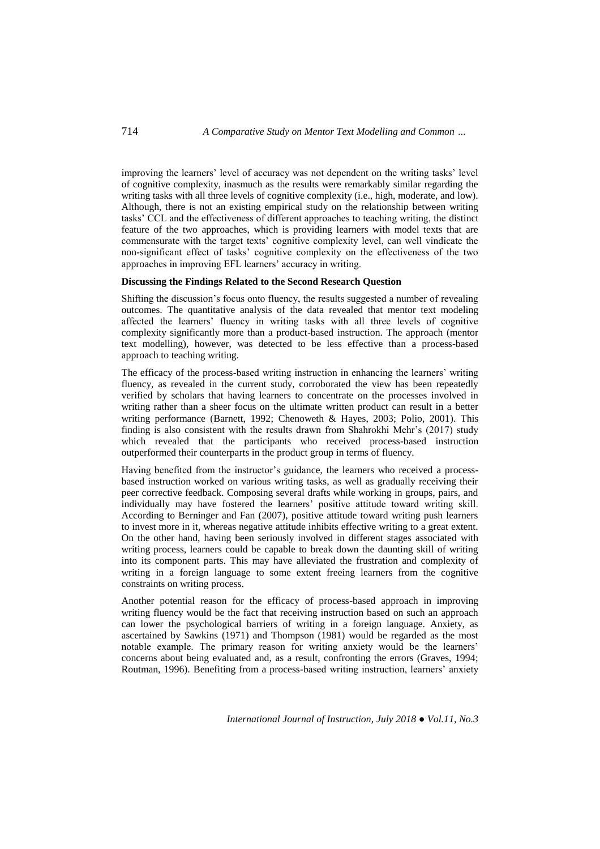improving the learners' level of accuracy was not dependent on the writing tasks' level of cognitive complexity, inasmuch as the results were remarkably similar regarding the writing tasks with all three levels of cognitive complexity (i.e., high, moderate, and low). Although, there is not an existing empirical study on the relationship between writing tasks' CCL and the effectiveness of different approaches to teaching writing, the distinct feature of the two approaches, which is providing learners with model texts that are commensurate with the target texts' cognitive complexity level, can well vindicate the non-significant effect of tasks' cognitive complexity on the effectiveness of the two approaches in improving EFL learners' accuracy in writing.

## **Discussing the Findings Related to the Second Research Question**

Shifting the discussion's focus onto fluency, the results suggested a number of revealing outcomes. The quantitative analysis of the data revealed that mentor text modeling affected the learners' fluency in writing tasks with all three levels of cognitive complexity significantly more than a product-based instruction. The approach (mentor text modelling), however, was detected to be less effective than a process-based approach to teaching writing.

The efficacy of the process-based writing instruction in enhancing the learners' writing fluency, as revealed in the current study, corroborated the view has been repeatedly verified by scholars that having learners to concentrate on the processes involved in writing rather than a sheer focus on the ultimate written product can result in a better writing performance (Barnett, 1992; Chenoweth & Hayes, 2003; Polio, 2001). This finding is also consistent with the results drawn from Shahrokhi Mehr's (2017) study which revealed that the participants who received process-based instruction outperformed their counterparts in the product group in terms of fluency.

Having benefited from the instructor's guidance, the learners who received a processbased instruction worked on various writing tasks, as well as gradually receiving their peer corrective feedback. Composing several drafts while working in groups, pairs, and individually may have fostered the learners' positive attitude toward writing skill. According to Berninger and Fan (2007), positive attitude toward writing push learners to invest more in it, whereas negative attitude inhibits effective writing to a great extent. On the other hand, having been seriously involved in different stages associated with writing process, learners could be capable to break down the daunting skill of writing into its component parts. This may have alleviated the frustration and complexity of writing in a foreign language to some extent freeing learners from the cognitive constraints on writing process.

Another potential reason for the efficacy of process-based approach in improving writing fluency would be the fact that receiving instruction based on such an approach can lower the psychological barriers of writing in a foreign language. Anxiety, as ascertained by Sawkins (1971) and Thompson (1981) would be regarded as the most notable example. The primary reason for writing anxiety would be the learners' concerns about being evaluated and, as a result, confronting the errors (Graves, 1994; Routman, 1996). Benefiting from a process-based writing instruction, learners' anxiety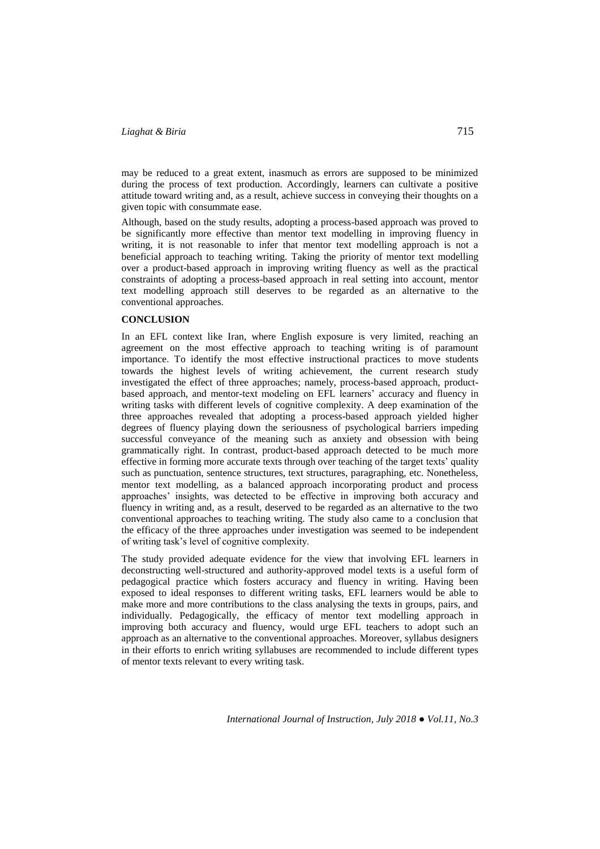may be reduced to a great extent, inasmuch as errors are supposed to be minimized during the process of text production. Accordingly, learners can cultivate a positive attitude toward writing and, as a result, achieve success in conveying their thoughts on a given topic with consummate ease.

Although, based on the study results, adopting a process-based approach was proved to be significantly more effective than mentor text modelling in improving fluency in writing, it is not reasonable to infer that mentor text modelling approach is not a beneficial approach to teaching writing. Taking the priority of mentor text modelling over a product-based approach in improving writing fluency as well as the practical constraints of adopting a process-based approach in real setting into account, mentor text modelling approach still deserves to be regarded as an alternative to the conventional approaches.

#### **CONCLUSION**

In an EFL context like Iran, where English exposure is very limited, reaching an agreement on the most effective approach to teaching writing is of paramount importance. To identify the most effective instructional practices to move students towards the highest levels of writing achievement, the current research study investigated the effect of three approaches; namely, process-based approach, productbased approach, and mentor-text modeling on EFL learners' accuracy and fluency in writing tasks with different levels of cognitive complexity. A deep examination of the three approaches revealed that adopting a process-based approach yielded higher degrees of fluency playing down the seriousness of psychological barriers impeding successful conveyance of the meaning such as anxiety and obsession with being grammatically right. In contrast, product-based approach detected to be much more effective in forming more accurate texts through over teaching of the target texts' quality such as punctuation, sentence structures, text structures, paragraphing, etc. Nonetheless, mentor text modelling, as a balanced approach incorporating product and process approaches' insights, was detected to be effective in improving both accuracy and fluency in writing and, as a result, deserved to be regarded as an alternative to the two conventional approaches to teaching writing. The study also came to a conclusion that the efficacy of the three approaches under investigation was seemed to be independent of writing task's level of cognitive complexity.

The study provided adequate evidence for the view that involving EFL learners in deconstructing well-structured and authority-approved model texts is a useful form of pedagogical practice which fosters accuracy and fluency in writing. Having been exposed to ideal responses to different writing tasks, EFL learners would be able to make more and more contributions to the class analysing the texts in groups, pairs, and individually. Pedagogically, the efficacy of mentor text modelling approach in improving both accuracy and fluency, would urge EFL teachers to adopt such an approach as an alternative to the conventional approaches. Moreover, syllabus designers in their efforts to enrich writing syllabuses are recommended to include different types of mentor texts relevant to every writing task.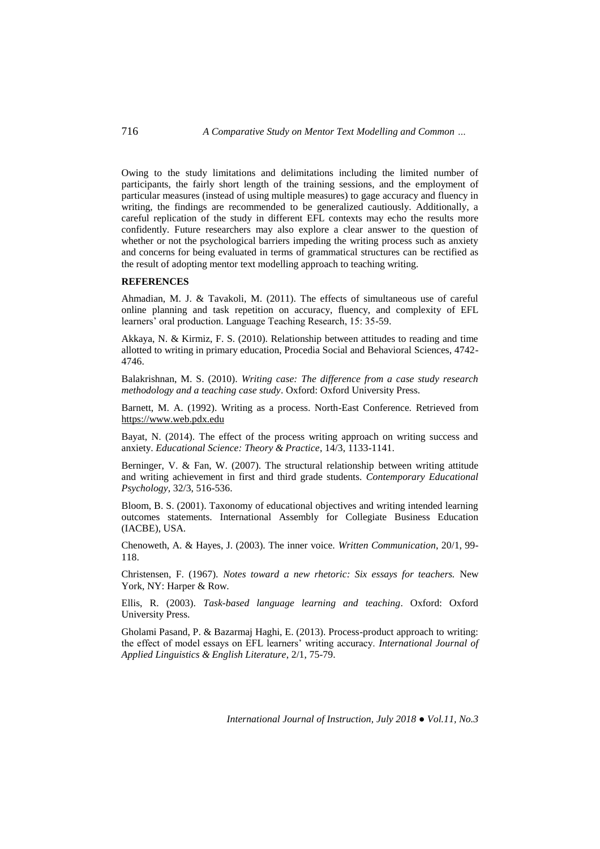Owing to the study limitations and delimitations including the limited number of participants, the fairly short length of the training sessions, and the employment of particular measures (instead of using multiple measures) to gage accuracy and fluency in writing, the findings are recommended to be generalized cautiously. Additionally, a careful replication of the study in different EFL contexts may echo the results more confidently. Future researchers may also explore a clear answer to the question of whether or not the psychological barriers impeding the writing process such as anxiety and concerns for being evaluated in terms of grammatical structures can be rectified as the result of adopting mentor text modelling approach to teaching writing.

### **REFERENCES**

Ahmadian, M. J. & Tavakoli, M. (2011). The effects of simultaneous use of careful online planning and task repetition on accuracy, fluency, and complexity of EFL learners' oral production. Language Teaching Research, 15: 35-59.

Akkaya, N. & Kirmiz, F. S. (2010). Relationship between attitudes to reading and time allotted to writing in primary education, Procedia Social and Behavioral Sciences, 4742- 4746.

Balakrishnan, M. S. (2010). *Writing case: The difference from a case study research methodology and a teaching case study*. Oxford: Oxford University Press.

Barnett, M. A. (1992). Writing as a process. North-East Conference*.* Retrieved from [https://www.web.pdx.edu](https://www.web.pdx.edu/)

Bayat, N. (2014). The effect of the process writing approach on writing success and anxiety. *Educational Science: Theory & Practice*, 14/3, 1133-1141.

Berninger, V. & Fan, W. (2007). The structural relationship between writing attitude and writing achievement in first and third grade students. *Contemporary Educational Psychology,* 32/3, 516-536.

Bloom, B. S. (2001). Taxonomy of educational objectives and writing intended learning outcomes statements. International Assembly for Collegiate Business Education (IACBE), USA.

Chenoweth, A. & Hayes, J. (2003). The inner voice. *Written Communication*, 20/1, 99- 118.

Christensen, F. (1967). *Notes toward a new rhetoric: Six essays for teachers.* New York, NY: Harper & Row.

Ellis, R. (2003). *Task-based language learning and teaching*. Oxford: Oxford University Press.

Gholami Pasand, P. & Bazarmaj Haghi, E. (2013). Process-product approach to writing: the effect of model essays on EFL learners' writing accuracy. *International Journal of Applied Linguistics & English Literature*, 2/1, 75-79.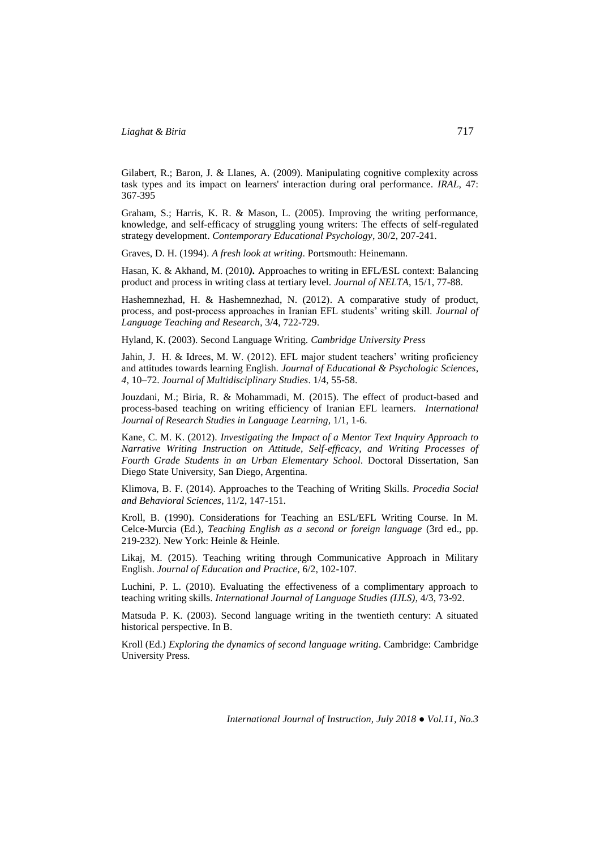Gilabert, R.; Baron, J. & Llanes, A. (2009). Manipulating cognitive complexity across task types and its impact on learners' interaction during oral performance. *IRAL,* 47: 367-395

Graham, S.; Harris, K. R. & Mason, L. (2005). Improving the writing performance, knowledge, and self-efficacy of struggling young writers: The effects of self-regulated strategy development. *Contemporary Educational Psychology*, 30/2, 207-241.

Graves, D. H. (1994). *A fresh look at writing*. Portsmouth: Heinemann.

Hasan, K. & Akhand, M. (2010*).* Approaches to writing in EFL/ESL context: Balancing product and process in writing class at tertiary level. *Journal of NELTA*, 15/1, 77-88.

Hashemnezhad, H. & Hashemnezhad, N. (2012). A comparative study of product, process, and post-process approaches in Iranian EFL students' writing skill. *Journal of Language Teaching and Research*, 3/4, 722-729.

Hyland, K. (2003). Second Language Writing. *Cambridge University Press* 

Jahin, J. H. & Idrees, M. W. (2012). EFL major student teachers' writing proficiency and attitudes towards learning English. *Journal of Educational & Psychologic Sciences*, *4*, 10–72. *Journal of Multidisciplinary Studies*. 1/4, 55-58.

Jouzdani, M.; Biria, R. & Mohammadi, M. (2015). The effect of product-based and process-based teaching on writing efficiency of Iranian EFL learners. *International Journal of Research Studies in Language Learning,* 1/1*,* 1-6.

Kane, C. M. K. (2012). *Investigating the Impact of a Mentor Text Inquiry Approach to Narrative Writing Instruction on Attitude, Self-efficacy, and Writing Processes of Fourth Grade Students in an Urban Elementary School.* Doctoral Dissertation, San Diego State University, San Diego, Argentina.

Klimova, B. F. (2014). Approaches to the Teaching of Writing Skills. *Procedia Social and Behavioral Sciences*, 11/2, 147-151.

Kroll, B. (1990). Considerations for Teaching an ESL/EFL Writing Course. In M. Celce-Murcia (Ed.), *Teaching English as a second or foreign language* (3rd ed., pp. 219-232). New York: Heinle & Heinle.

Likaj, M. (2015). Teaching writing through Communicative Approach in Military English. *Journal of Education and Practice,* 6/2, 102-107*.*

Luchini, P. L. (2010). Evaluating the effectiveness of a complimentary approach to teaching writing skills. *International Journal of Language Studies (IJLS)*, 4/3, 73-92.

Matsuda P. K. (2003). Second language writing in the twentieth century: A situated historical perspective. In B.

Kroll (Ed.) *Exploring the dynamics of second language writing*. Cambridge: Cambridge University Press.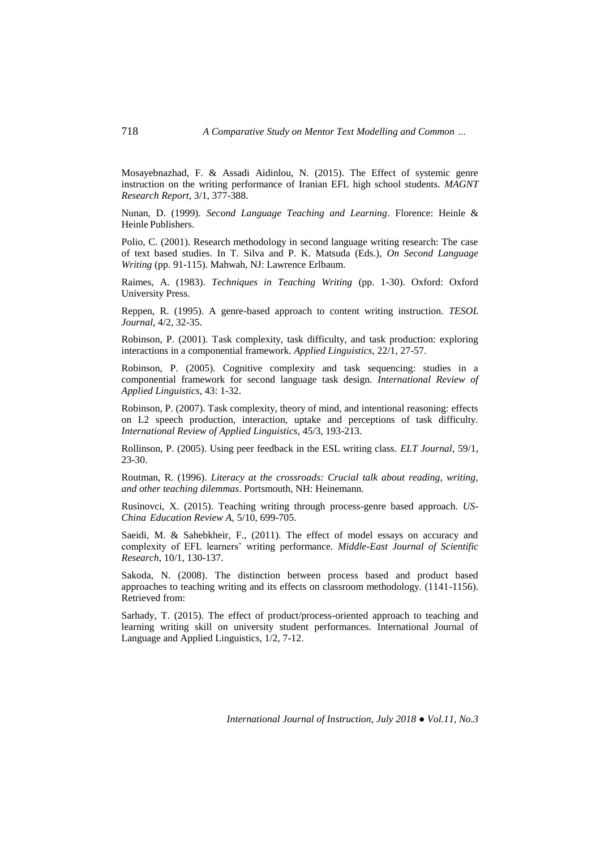Mosayebnazhad, F. & Assadi Aidinlou, N. (2015). The Effect of systemic genre instruction on the writing performance of Iranian EFL high school students. *MAGNT Research Report*, 3/1, 377-388.

Nunan, D. (1999). *Second Language Teaching and Learning*. Florence: Heinle & Heinle Publishers.

Polio, C. (2001). Research methodology in second language writing research: The case of text based studies. In T. Silva and P. K. Matsuda (Eds.), *On Second Language Writing* (pp. 91-115). Mahwah, NJ: Lawrence Erlbaum.

Raimes, A. (1983). *Techniques in Teaching Writing* (pp. 1-30). Oxford: Oxford University Press.

Reppen, R. (1995). A genre-based approach to content writing instruction. *TESOL Journal*, 4/2, 32-35.

Robinson, P. (2001). Task complexity, task difficulty, and task production: exploring interactions in a componential framework. *Applied Linguistics*, 22/1, 27-57.

Robinson, P. (2005). Cognitive complexity and task sequencing: studies in a componential framework for second language task design. *International Review of Applied Linguistics*, 43: 1-32.

Robinson, P. (2007). Task complexity, theory of mind, and intentional reasoning: effects on L2 speech production, interaction, uptake and perceptions of task difficulty. *International Review of Applied Linguistics*, 45/3, 193-213.

Rollinson, P. (2005). Using peer feedback in the ESL writing class. *ELT Journal*, 59/1, 23-30.

Routman, R. (1996). *Literacy at the crossroads: Crucial talk about reading, writing, and other teaching dilemmas*. Portsmouth, NH: Heinemann.

Rusinovci, X. (2015). Teaching writing through process-genre based approach. *US-China Education Review A,* 5/10, 699-705.

Saeidi, M. & Sahebkheir, F., (2011). The effect of model essays on accuracy and complexity of EFL learners' writing performance. *Middle-East Journal of Scientific Research*, 10/1, 130-137.

Sakoda, N. (2008). The distinction between process based and product based approaches to teaching writing and its effects on classroom methodology. (1141-1156). Retrieved from:

Sarhady, T. (2015). The effect of product/process-oriented approach to teaching and learning writing skill on university student performances. International Journal of Language and Applied Linguistics, 1/2, 7-12.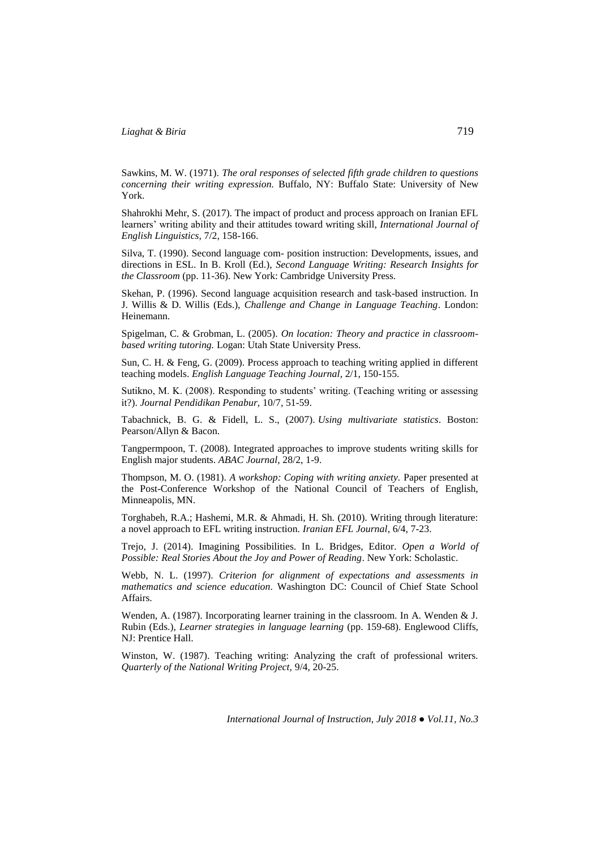Sawkins, M. W. (1971). *The oral responses of selected fifth grade children to questions concerning their writing expression.* Buffalo, NY: Buffalo State: University of New York.

Shahrokhi Mehr, S. (2017). The impact of product and process approach on Iranian EFL learners' writing ability and their attitudes toward writing skill, *International Journal of English Linguistics*, 7/2, 158-166.

Silva, T. (1990). Second language com- position instruction: Developments, issues, and directions in ESL. In B. Kroll (Ed.), *Second Language Writing: Research Insights for the Classroom* (pp. 11-36). New York: Cambridge University Press.

Skehan, P. (1996). Second language acquisition research and task-based instruction. In J. Willis & D. Willis (Eds.), *Challenge and Change in Language Teaching*. London: Heinemann.

Spigelman, C. & Grobman, L. (2005). *On location: Theory and practice in classroombased writing tutoring.* Logan: Utah State University Press.

Sun, C. H. & Feng, G. (2009). Process approach to teaching writing applied in different teaching models. *English Language Teaching Journal*, 2/1, 150-155.

Sutikno, M. K. (2008). Responding to students' writing. (Teaching writing or assessing it?). *Journal Pendidikan Penabur,* 10/7*,* 51-59.

Tabachnick, B. G. & Fidell, L. S., (2007). *Using multivariate statistics*. Boston: Pearson/Allyn & Bacon.

Tangpermpoon, T. (2008). Integrated approaches to improve students writing skills for English major students. *ABAC Journal,* 28/2, 1-9.

Thompson, M. O. (1981). *A workshop: Coping with writing anxiety.* Paper presented at the Post-Conference Workshop of the National Council of Teachers of English, Minneapolis, MN.

Torghabeh, R.A.; Hashemi, M.R. & Ahmadi, H. Sh. (2010). Writing through literature: a novel approach to EFL writing instruction. *Iranian EFL Journal*, 6/4, 7-23.

Trejo, J. (2014). Imagining Possibilities. In L. Bridges, Editor. *Open a World of Possible: Real Stories About the Joy and Power of Reading*. New York: Scholastic.

Webb, N. L. (1997). *Criterion for alignment of expectations and assessments in mathematics and science education*. Washington DC: Council of Chief State School Affairs.

Wenden, A. (1987). Incorporating learner training in the classroom. In A. Wenden & J. Rubin (Eds.), *Learner strategies in language learning* (pp. 159-68). Englewood Cliffs, NJ: Prentice Hall.

Winston, W. (1987). Teaching writing: Analyzing the craft of professional writers. *Quarterly of the National Writing Project,* 9/4, 20-25.